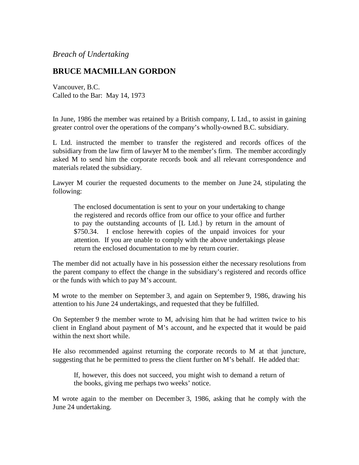## *Breach of Undertaking*

## **BRUCE MACMILLAN GORDON**

Vancouver, B.C. Called to the Bar: May 14, 1973

In June, 1986 the member was retained by a British company, L Ltd., to assist in gaining greater control over the operations of the company's wholly-owned B.C. subsidiary.

L Ltd. instructed the member to transfer the registered and records offices of the subsidiary from the law firm of lawyer M to the member's firm. The member accordingly asked M to send him the corporate records book and all relevant correspondence and materials related the subsidiary.

Lawyer M courier the requested documents to the member on June 24, stipulating the following:

The enclosed documentation is sent to your on your undertaking to change the registered and records office from our office to your office and further to pay the outstanding accounts of [L Ltd.} by return in the amount of \$750.34. I enclose herewith copies of the unpaid invoices for your attention. If you are unable to comply with the above undertakings please return the enclosed documentation to me by return courier.

The member did not actually have in his possession either the necessary resolutions from the parent company to effect the change in the subsidiary's registered and records office or the funds with which to pay M's account.

M wrote to the member on September 3, and again on September 9, 1986, drawing his attention to his June 24 undertakings, and requested that they be fulfilled.

On September 9 the member wrote to M, advising him that he had written twice to his client in England about payment of M's account, and he expected that it would be paid within the next short while.

He also recommended against returning the corporate records to M at that juncture, suggesting that he be permitted to press the client further on M's behalf. He added that:

If, however, this does not succeed, you might wish to demand a return of the books, giving me perhaps two weeks' notice.

M wrote again to the member on December 3, 1986, asking that he comply with the June 24 undertaking.